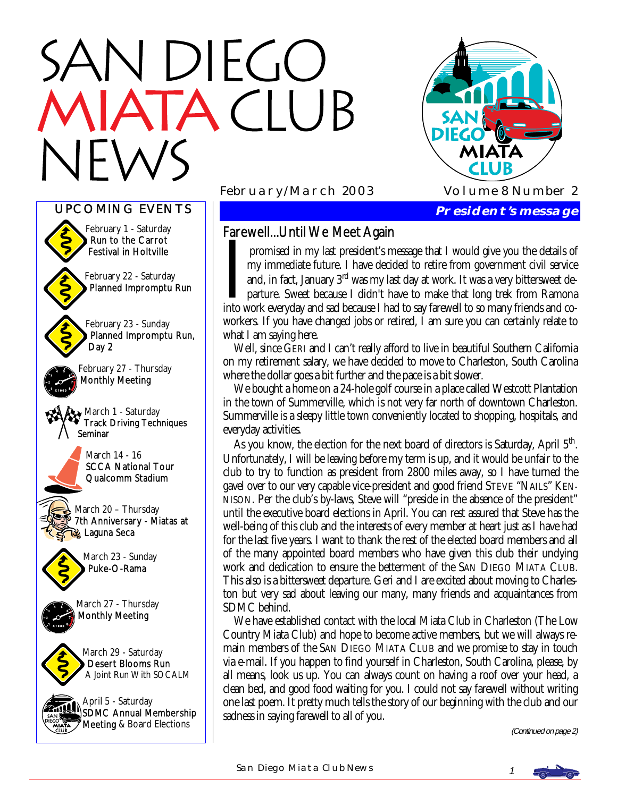# N DIEGO TACLUB





# Farewell...Until We Meet Again

I promised in my last president's message that I would give you the details of my immediate future. I have decided to retire from government civil service and, in fact, January 3<sup>rd</sup> was my last day at work. It was a very my immediate future. I have decided to retire from government civil service and, in fact, January 3rd was my last day at work. It was a very bittersweet departure. Sweet because I didn't have to make that long trek from Ramona into work everyday and sad because I had to say farewell to so many friends and coworkers. If you have changed jobs or retired, I am sure you can certainly relate to what I am saying here.

 Well, since GERI and I can't really afford to live in beautiful Southern California on my retirement salary, we have decided to move to Charleston, South Carolina where the dollar goes a bit further and the pace is a bit slower.

 We bought a home on a 24-hole golf course in a place called Westcott Plantation in the town of Summerville, which is not very far north of downtown Charleston. Summerville is a sleepy little town conveniently located to shopping, hospitals, and everyday activities.

As you know, the election for the next board of directors is Saturday, April  $5<sup>th</sup>$ . Unfortunately, I will be leaving before my term is up, and it would be unfair to the club to try to function as president from 2800 miles away, so I have turned the gavel over to our very capable vice-president and good friend STEVE "NAILS" KEN-NISON. Per the club's by-laws, Steve will "preside in the absence of the president" until the executive board elections in April. You can rest assured that Steve has the well-being of this club and the interests of every member at heart just as I have had for the last five years. I want to thank the rest of the elected board members and all of the many appointed board members who have given this club their undying work and dedication to ensure the betterment of the SAN DIEGO MIATA CLUB. This also is a bittersweet departure. Geri and I are excited about moving to Charleston but very sad about leaving our many, many friends and acquaintances from SDMC behind.

 We have established contact with the local Miata Club in Charleston (The Low Country Miata Club) and hope to become active members, but we will always remain members of the SAN DIEGO MIATA CLUB and we promise to stay in touch via e-mail. If you happen to find yourself in Charleston, South Carolina, please, by all means, look us up. You can always count on having a roof over your head, a clean bed, and good food waiting for you. I could not say farewell without writing one last poem. It pretty much tells the story of our beginning with the club and our sadness in saying farewell to all of you.

(Continued on page 2)

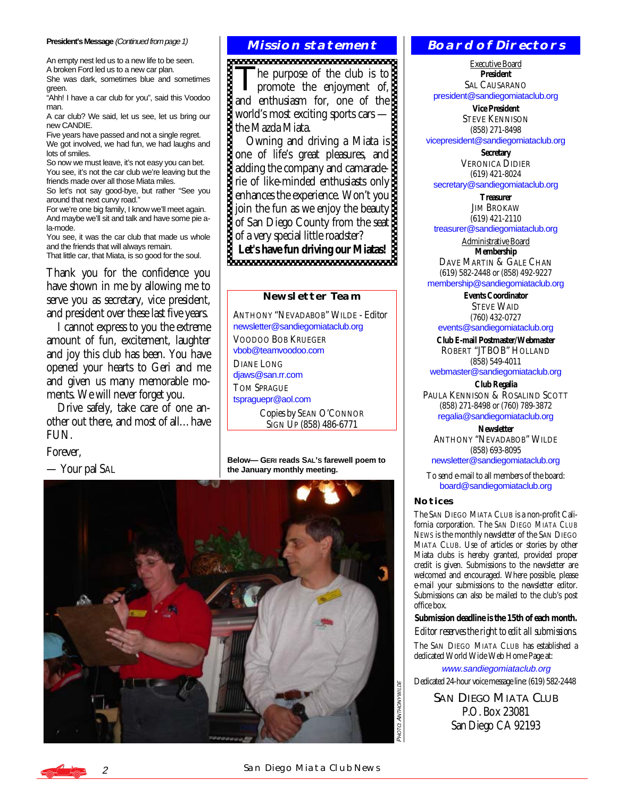#### **President's Message** (Continued from page 1)

An empty nest led us to a new life to be seen. A broken Ford led us to a new car plan.

She was dark, sometimes blue and sometimes green.

"Ahh! I have a car club for you", said this Voodoo man.

A car club? We said, let us see, let us bring our new CANDIE.

Five years have passed and not a single regret. We got involved, we had fun, we had laughs and lots of smiles.

So now we must leave, it's not easy you can bet. You see, it's not the car club we're leaving but the friends made over all those Miata miles.

So let's not say good-bye, but rather "See you around that next curvy road."

For we're one big family, I know we'll meet again. And maybe we'll sit and talk and have some pie ala-mode.

You see, it was the car club that made us whole and the friends that will always remain.

That little car, that Miata, is so good for the soul.

Thank you for the confidence you have shown in me by allowing me to serve you as secretary, vice president, and president over these last five years.

 I cannot express to you the extreme amount of fun, excitement, laughter and joy this club has been. You have opened your hearts to Geri and me and given us many memorable moments. We will never forget you.

 Drive safely, take care of one another out there, and most of all…have FUN.

Forever,

— Your pal SAL

#### **Mission statement**

The purpose of the club is to<br>promote the enjoyment of,

and enthusiasm for, one of the world's most exciting sports cars the Mazda Miata.

 Owning and driving a Miata is one of life's great pleasures, and adding the company and camaraderie of like-minded enthusiasts only enhances the experience. Won't you join the fun as we enjoy the beauty<br>of San Diego County from the seat of San Diego County from the seat of a very special little roadster? **Let's have fun driving our Miatas!** 

#### **Newsletter Team**

ANTHONY "NEVADABOB" WILDE - Editor [newsletter@sandiegomiataclub.org](mailto:newsletter@sandiegomiataclub.org)  VOODOO BOB KRUEGER [vbob@teamvoodoo.com](mailto:vbob@teamvoodoo.com)  DIANE LONG [djaws@san.rr.com](mailto:djaws@san.rr.com)  TOM SPRAGUE [tspraguepr@aol.com](mailto:tspraguepr@aol.com)  Copies by SEAN O'CONNOR SIGN UP (858) 486-6771

**Below— GERI reads SAL'S farewell poem to the January monthly meeting.** 



#### **Board of Directors**

Executive Board **President**  SAL CAUSARANO [president@sandiegomiataclub.org](mailto:president@sandiegomiataclub.org) 

> **Vice President**  STEVE KENNISON (858) 271-8498

[vicepresident@sandiegomiataclub.org](mailto:vicepresident@sandiegomiataclub.org) 

**Secretary**  VERONICA DIDIER (619) 421-8024

[secretary@sandiegomiataclub.org](mailto:secretary@sandiegomiataclub.org) 

**Treasurer JIM BROKAW** (619) 421-2110

[treasurer@sandiegomiataclub.org](mailto:treasurer@sandiegomiataclub.org) 

Administrative Board **Membership**  DAVE MARTIN & GALE CHAN (619) 582-2448 or (858) 492-9227

[membership@sandiegomiataclub.org](mailto:membership@sandiegomiataclub.org) 

**Events Coordinator**  STEVE WAID (760) 432-0727 [events@sandiegomiataclub.org](mailto:events@sandiegomiataclub.org) 

**Club E-mail Postmaster/Webmaster**  ROBERT "JTBOB" HOLLAND (858) 549-4011

[webmaster@sandiegomiataclub.org](mailto:webmaster@sandiegomiataclub.org)  **Club Regalia** 

PAULA KENNISON & ROSALIND SCOTT (858) 271-8498 or (760) 789-3872 [regalia@sandiegomiataclub.org](mailto:regalia@sandiegomiataclub.org) 

**Newsletter**  ANTHONY "NEVADABOB" WILDE (858) 693-8095 [newsletter@sandiegomiataclub.org](mailto:newsletter@sandiegomiataclub.org) 

To send e-mail to all members of the board: [board@sandiegomiataclub.org](mailto:board@sandiegomiataclub.org) 

#### **Notices**

The SAN DIEGO MIATA CLUB is a non-profit California corporation. The *SAN DIEGO MIATA CLUB NEWS* is the monthly newsletter of the SAN DIEGO MIATA CLUB. Use of articles or stories by other Miata clubs is hereby granted, provided proper credit is given. Submissions to the newsletter are welcomed and encouraged. Where possible, please e-mail your submissions to the newsletter editor. Submissions can also be mailed to the club's post office box.

**Submission deadline is the 15th of each month.** 

*Editor reserves the right to edit all submissions.*

The SAN DIEGO MIATA CLUB has established a dedicated World Wide Web Home Page at:

[www.sandiegomiataclub.org](http://www.sandiegomiataclub.org)  Dedicated 24-hour voice message line: (619) 582-2448

> **SAN DIEGO MIATA CLUB** P.O. Box 23081 San Diego CA 92193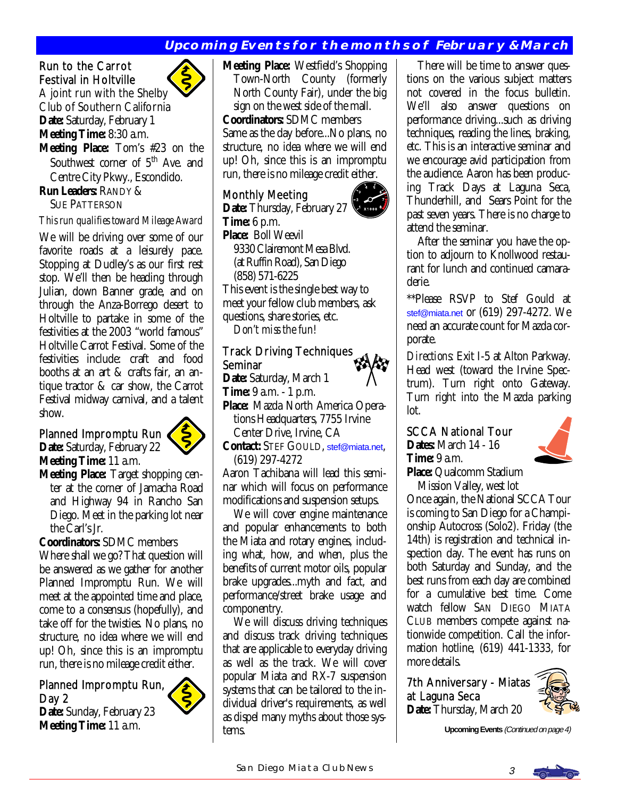# **Upcoming Events for the months of February & March**

## Run to the Carrot Festival in Holtville

A joint run with the Shelby Club of Southern California **Date:** Saturday, February 1 **Meeting Time:** 8:30 a.m.

**Meeting Place:** Tom's #23 on the Southwest corner of 5<sup>th</sup> Ave. and Centre City Pkwy., Escondido. **Run Leaders:** RANDY &

SUE PATTERSON

#### *This run qualifies toward Mileage Award*

We will be driving over some of our favorite roads at a leisurely pace. Stopping at Dudley's as our first rest stop. We'll then be heading through Julian, down Banner grade, and on through the Anza-Borrego desert to Holtville to partake in some of the festivities at the 2003 "world famous" Holtville Carrot Festival. Some of the festivities include: craft and food booths at an art & crafts fair, an antique tractor & car show, the Carrot Festival midway carnival, and a talent show.

#### Planned Impromptu Run **Date:** Saturday, February 22 **Meeting Time:** 11 a.m.



**Meeting Place:** Target shopping cen ter at the corner of Jamacha Road and Highway 94 in Rancho San Diego. Meet in the parking lot near the Carl's Jr.

**Coordinators:** SDMC members Where shall we go? That question will be answered as we gather for another Planned Impromptu Run. We will meet at the appointed time and place, come to a consensus (hopefully), and take off for the twisties. No plans, no structure, no idea where we will end up! Oh, since this is an impromptu run, there is no mileage credit either.

## Planned Impromptu Run, Day 2

**Date:** Sunday, February 23 **Meeting Time:** 11 a.m.



**Meeting Place:** Westfield's Shopping Town-North County (formerly North County Fair), under the big sign on the west side of the mall. **Coordinators:** SDMC members Same as the day before...No plans, no structure, no idea where we will end up! Oh, since this is an impromptu

# Monthly Meeting

**Date:** Thursday, February 27 **Time:** 6 p.m. **Place:** Boll Weevil 9330 Clairemont Mesa Blvd. (at Ruffin Road), San Diego (858) 571-6225

run, there is no mileage credit either.

This event is the single best way to meet your fellow club members, ask questions, share stories, etc.

*Don't miss the fun!* 

## Track Driving Techniques Seminar

**Date:** Saturday, March 1

**Time:** 9 a.m. - 1 p.m.

**Place:** Mazda North America Opera tions Headquarters, 7755 Irvine Center Drive, Irvine, CA

**Contact:** STEF GOULD, [stef@miata.net](mailto:stef@miata.net), (619) 297-4272

Aaron Tachibana will lead this seminar which will focus on performance modifications and suspension setups.

 We will cover engine maintenance and popular enhancements to both the Miata and rotary engines, including what, how, and when, plus the benefits of current motor oils, popular brake upgrades...myth and fact, and performance/street brake usage and componentry.

 We will discuss driving techniques and discuss track driving techniques that are applicable to everyday driving as well as the track. We will cover popular Miata and RX-7 suspension systems that can be tailored to the individual driver's requirements, as well as dispel many myths about those systems.



 After the seminar you have the option to adjourn to Knollwood restaurant for lunch and continued camaraderie.

\*\*Please RSVP to Stef Gould at [stef@miata.net](mailto:stef@miata.net) or (619) 297-4272. We need an accurate count for Mazda corporate.

*Directions:* Exit I-5 at Alton Parkway. Head west (toward the Irvine Spectrum). Turn right onto Gateway. Turn right into the Mazda parking lot. Ī

SCCA National Tour **Dates:** March 14 - 16 **Time:** 9 a.m.



**Place:** Qualcomm Stadium Mission Valley, west lot

Once again, the National SCCA Tour is coming to San Diego for a Championship Autocross (Solo2). Friday (the 14th) is registration and technical inspection day. The event has runs on both Saturday and Sunday, and the best runs from each day are combined for a cumulative best time. Come watch fellow SAN DIEGO MIATA CLUB members compete against nationwide competition. Call the information hotline, (619) 441-1333, for more details.

7th Anniversary - Miatas at Laguna Seca **Date:** Thursday, March 20



**Upcoming Events** (Continued on page 4)

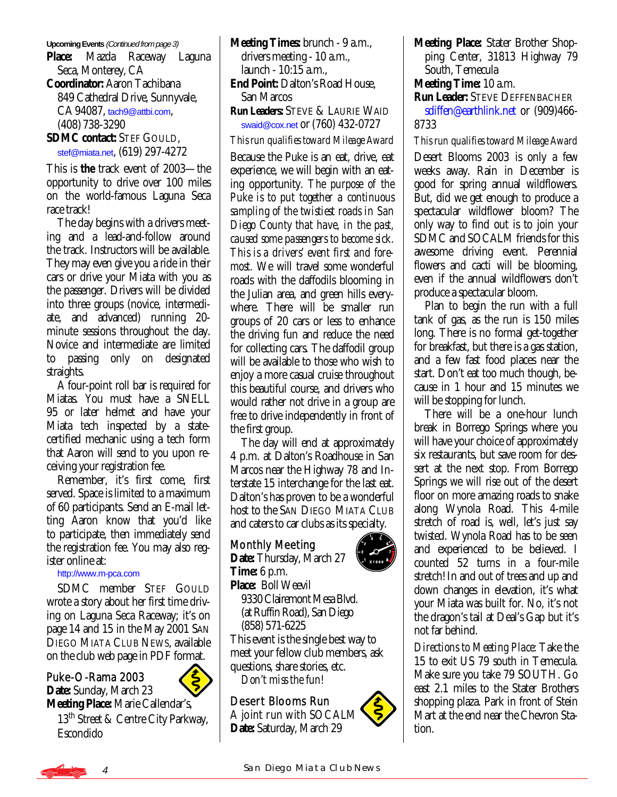#### **Upcoming Events** (Continued from page 3)

**Place:** Mazda Raceway Laguna Seca, Monterey, CA **Coordinator:** Aaron Tachibana 849 Cathedral Drive, Sunnyvale, CA 94087, [tach9@attbi.com](mailto:tach9@attbi.com), (408) 738-3290 **SDMC contact:** STEF GOULD, [stef@miata.net](mailto:stef@miata.net), (619) 297-4272

This is *the* track event of 2003—the opportunity to drive over 100 miles on the world-famous Laguna Seca race track!

 The day begins with a drivers meeting and a lead-and-follow around the track. Instructors will be available. They may even give you a ride in their cars or drive your Miata with you as the passenger. Drivers will be divided into three groups (novice, intermediate, and advanced) running 20 minute sessions throughout the day. Novice and intermediate are limited to passing only on designated straights.

 A four-point roll bar is required for Miatas. You must have a SNELL 95 or later helmet and have your Miata tech inspected by a statecertified mechanic using a tech form that Aaron will send to you upon receiving your registration fee.

 Remember, it's first come, first served. Space is limited to a maximum of 60 participants. Send an E-mail letting Aaron know that you'd like to participate, then immediately send the registration fee. You may also register online at:

#### <http://www.m-pca.com>

 SDMC member STEF GOULD wrote a story about her first time driving on Laguna Seca Raceway; it's on page 14 and 15 in the May 2001 SAN DIEGO MIATA CLUB NEWS, available on the club web page in PDF format.

#### Ì Puke-O-Rama 2003

**Date:** Sunday, March 23 **Meeting Place:** Marie Callendar's, 13<sup>th</sup> Street & Centre City Parkway, Escondido

**Meeting Times:** brunch - 9 a.m., drivers meeting - 10 a.m., launch - 10:15 a.m., **End Point:** Dalton's Road House, San Marcos **Run Leaders:** STEVE & LAURIE WAID

[swaid@cox.net](mailto:swaid@cox.net) or (760) 432-0727

#### *This run qualifies toward Mileage Award*

Because the Puke is an eat, drive, eat experience, we will begin with an eating opportunity. *The purpose of the Puke is to put together a continuous sampling of the twistiest roads in San Diego County that have, in the past, caused some passengers to become sick. This is a drivers' event first and foremost.* We will travel some wonderful roads with the daffodils blooming in the Julian area, and green hills everywhere. There will be smaller run groups of 20 cars or less to enhance the driving fun and reduce the need for collecting cars. The daffodil group will be available to those who wish to enjoy a more casual cruise throughout this beautiful course, and drivers who would rather not drive in a group are free to drive independently in front of the first group.

 The day will end at approximately 4 p.m. at Dalton's Roadhouse in San Marcos near the Highway 78 and Interstate 15 interchange for the last eat. Dalton's has proven to be a wonderful host to the SAN DIEGO MIATA CLUB and caters to car clubs as its specialty.

## Monthly Meeting

**Date:** Thursday, March 27 **Time:** 6 p.m. **Place:** Boll Weevil 9330 Clairemont Mesa Blvd.

(at Ruffin Road), San Diego

(858) 571-6225

This event is the single best way to meet your fellow club members, ask questions, share stories, etc. *Don't miss the fun!* 

## Desert Blooms Run A joint run with SOCALM **Date:** Saturday, March 29



**Meeting Place:** Stater Brother Shop ping Center, 31813 Highway 79 South, Temecula

## **Meeting Time:** 10 a.m.

**Run Leader:** STEVE DEFFENBACHER [sdiffen@earthlink.net](mailto:sdiffen@earthlink.net) or (909)466- 8733

## *This run qualifies toward Mileage Award*

Desert Blooms 2003 is only a few weeks away. Rain in December is good for spring annual wildflowers. But, did we get enough to produce a spectacular wildflower bloom? The only way to find out is to join your SDMC and SOCALM friends for this awesome driving event. Perennial flowers and cacti will be blooming, even if the annual wildflowers don't produce a spectacular bloom.

 Plan to begin the run with a full tank of gas, as the run is 150 miles long. There is no formal get-together for breakfast, but there is a gas station, and a few fast food places near the start. Don't eat too much though, because in 1 hour and 15 minutes we will be stopping for lunch.

 There will be a one-hour lunch break in Borrego Springs where you will have your choice of approximately six restaurants, but save room for dessert at the next stop. From Borrego Springs we will rise out of the desert floor on more amazing roads to snake along Wynola Road. This 4-mile stretch of road is, well, let's just say twisted. Wynola Road has to be seen and experienced to be believed. I counted 52 turns in a four-mile stretch! In and out of trees and up and down changes in elevation, it's what your Miata was built for. No, it's not the dragon's tail at Deal's Gap but it's not far behind.

*Directions to Meeting Place:* Take the 15 to exit US 79 south in Temecula. Make sure you take 79 SOUTH. Go east 2.1 miles to the Stater Brothers shopping plaza. Park in front of Stein Mart at the end near the Chevron Station.

4 SAN DIEGO MIATA CLUB NEWS

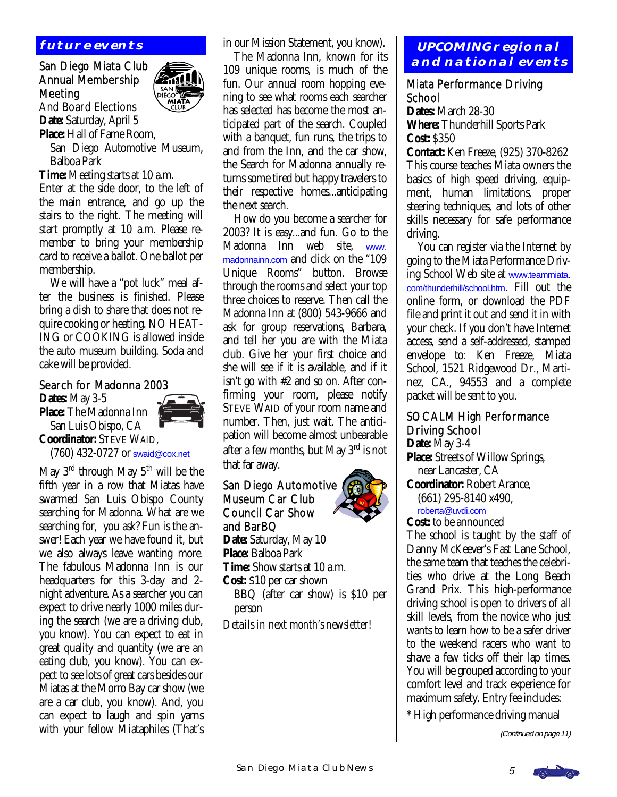# **future events**

### San Diego Miata Club Annual Membership Meeting And Board Elections



**Date:** Saturday, April 5 **Place:** Hall of Fame Room,

 San Diego Automotive Museum, Balboa Park

**Time:** Meeting starts at 10 a.m.

Enter at the side door, to the left of the main entrance, and go up the stairs to the right. The meeting will start promptly at 10 a.m. Please remember to bring your membership card to receive a ballot. One ballot per membership.

 We will have a "pot luck" meal after the business is finished. Please bring a dish to share that does not require cooking or heating. NO HEAT-ING or COOKING is allowed inside the auto museum building. Soda and cake will be provided.

#### Search for Madonna 2003

**Dates:** May 3-5



 San Luis Obispo, CA **Coordinator:** STEVE WAID, (760) 432-0727 or [swaid@cox.net](mailto:swaid@cox.net)

May  $3<sup>rd</sup>$  through May  $5<sup>th</sup>$  will be the fifth year in a row that Miatas have swarmed San Luis Obispo County searching for Madonna. What are we searching for, you ask? Fun is the answer! Each year we have found it, but we also always leave wanting more. The fabulous Madonna Inn is our headquarters for this 3-day and 2 night adventure. As a searcher you can expect to drive nearly 1000 miles during the search (we are a driving club, you know). You can expect to eat in great quality and quantity (we are an eating club, you know). You can expect to see lots of great cars besides our Miatas at the Morro Bay car show (we are a car club, you know). And, you can expect to laugh and spin yarns with your fellow Miataphiles (That's in our Mission Statement, you know).

 The Madonna Inn, known for its 109 unique rooms, is much of the fun. Our annual room hopping evening to see what rooms each searcher has selected has become the most anticipated part of the search. Coupled with a banquet, fun runs, the trips to and from the Inn, and the car show, the Search for Madonna annually returns some tired but happy travelers to their respective homes...anticipating the next search.

 How do you become a searcher for 2003? It is easy...and fun. Go to the Madonna Inn web site, [www.](http://www.madonnainn.com) [madonnainn.com](http://www.madonnainn.com) and click on the "109 Unique Rooms" button. Browse through the rooms and select your top three choices to reserve. Then call the Madonna Inn at (800) 543-9666 and ask for group reservations, Barbara, and tell her you are with the Miata club. Give her your first choice and she will see if it is available, and if it isn't go with #2 and so on. After confirming your room, please notify STEVE WAID of your room name and number. Then, just wait. The anticipation will become almost unbearable after a few months, but May 3rd is not that far away.

## San Diego Automotive Museum Car Club Council Car Show and BarBQ Date: Saturday, May 10 **Place:** Balboa Park **Time:** Show starts at 10 a.m. **Cost:** \$10 per car shown BBQ (after car show) is \$10 per

 person *Details in next month's newsletter!* 

## **UPCOMING regional and national events**

### Miata Performance Driving **School**

**Dates:** March 28-30 **Where:** Thunderhill Sports Park **Cost:** \$350

**Contact:** Ken Freeze, (925) 370-8262 This course teaches Miata owners the basics of high speed driving, equipment, human limitations, proper steering techniques, and lots of other skills necessary for safe performance driving.

 You can register via the Internet by going to the Miata Performance Driving School Web site at [www.teammiata.](http://www.teammiata.com/thunderhill/school.htm) [com/thunderhill/school.htm](http://www.teammiata.com/thunderhill/school.htm). Fill out the online form, or download the PDF file and print it out and send it in with your check. If you don't have Internet access, send a self-addressed, stamped envelope to: Ken Freeze, Miata School, 1521 Ridgewood Dr., Martinez, CA., 94553 and a complete packet will be sent to you.

## SOCALM High Performance Driving School

**Date:** May 3-4 **Place:** Streets of Willow Springs, near Lancaster, CA **Coordinator:** Robert Arance, (661) 295-8140 x490, [roberta@uvdi.com](mailto:roberta@uvdi.com)

**Cost:** to be announced

The school is taught by the staff of Danny McKeever's Fast Lane School, the same team that teaches the celebrities who drive at the Long Beach Grand Prix. This high-performance driving school is open to drivers of all skill levels, from the novice who just wants to learn how to be a safer driver to the weekend racers who want to shave a few ticks off their lap times. You will be grouped according to your comfort level and track experience for maximum safety. Entry fee includes:

\* High performance driving manual

(Continued on page 11)

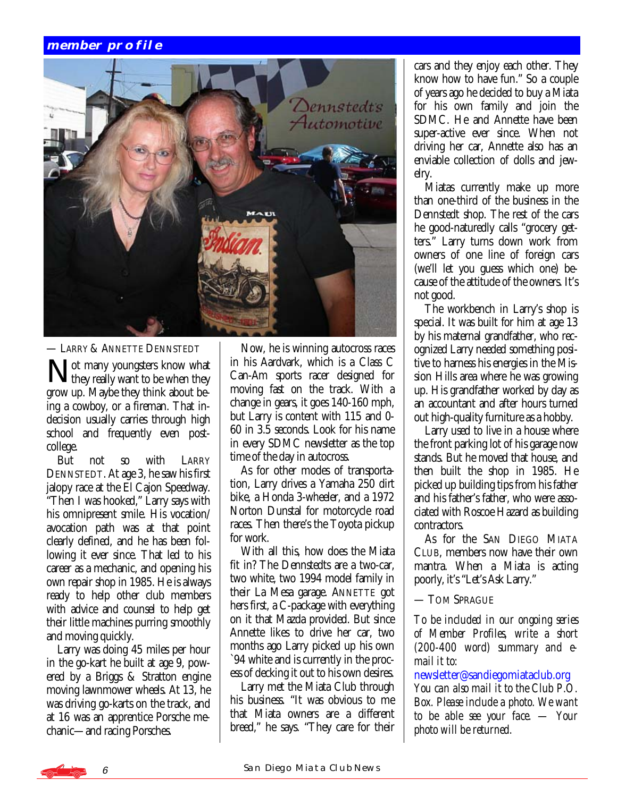## **member profile**



— LARRY & ANNETTE DENNSTEDT

Not many youngsters know what<br>
they really want to be when they grow up. Maybe they think about being a cowboy, or a fireman. That indecision usually carries through high school and frequently even postcollege.

 But not so with LARRY DENNSTEDT. At age 3, he saw his first jalopy race at the El Cajon Speedway. "Then I was hooked," Larry says with his omnipresent smile. His vocation/ avocation path was at that point clearly defined, and he has been following it ever since. That led to his career as a mechanic, and opening his own repair shop in 1985. He is always ready to help other club members with advice and counsel to help get their little machines purring smoothly and moving quickly.

 Larry was doing 45 miles per hour in the go-kart he built at age 9, powered by a Briggs & Stratton engine moving lawnmower wheels. At 13, he was driving go-karts on the track, and at 16 was an apprentice Porsche mechanic—and racing Porsches.

 Now, he is winning autocross races in his Aardvark, which is a Class C Can-Am sports racer designed for moving fast on the track. With a change in gears, it goes 140-160 mph, but Larry is content with 115 and 0- 60 in 3.5 seconds. Look for his name in every SDMC newsletter as the top time of the day in autocross.

 As for other modes of transportation, Larry drives a Yamaha 250 dirt bike, a Honda 3-wheeler, and a 1972 Norton Dunstal for motorcycle road races. Then there's the Toyota pickup for work.

 With all this, how does the Miata fit in? The Dennstedts are a two-car, two white, two 1994 model family in their La Mesa garage. ANNETTE got hers first, a C-package with everything on it that Mazda provided. But since Annette likes to drive her car, two months ago Larry picked up his own `94 white and is currently in the process of decking it out to his own desires.

 Larry met the Miata Club through his business. "It was obvious to me that Miata owners are a different breed," he says. "They care for their

cars and they enjoy each other. They know how to have fun." So a couple of years ago he decided to buy a Miata for his own family and join the SDMC. He and Annette have been super-active ever since. When not driving her car, Annette also has an enviable collection of dolls and jewelry.

 Miatas currently make up more than one-third of the business in the Dennstedt shop. The rest of the cars he good-naturedly calls "grocery getters." Larry turns down work from owners of one line of foreign cars (we'll let you guess which one) because of the attitude of the owners. It's not good.

 The workbench in Larry's shop is special. It was built for him at age 13 by his maternal grandfather, who recognized Larry needed something positive to harness his energies in the Mission Hills area where he was growing up. His grandfather worked by day as an accountant and after hours turned out high-quality furniture as a hobby.

 Larry used to live in a house where the front parking lot of his garage now stands. But he moved that house, and then built the shop in 1985. He picked up building tips from his father and his father's father, who were associated with Roscoe Hazard as building contractors.

 As for the SAN DIEGO MIATA CLUB, members now have their own mantra. When a Miata is acting poorly, it's "Let's Ask Larry."

— TOM SPRAGUE

*To be included in our ongoing series of Member Profiles, write a short (200-400 word) summary and email it to:* 

[newsletter@sandiegomiataclub.org](mailto:newsletter@sandiegomiataclub.org)  *You can also mail it to the Club P.O. Box. Please include a photo. We want to be able see your face. — Your photo will be returned.*

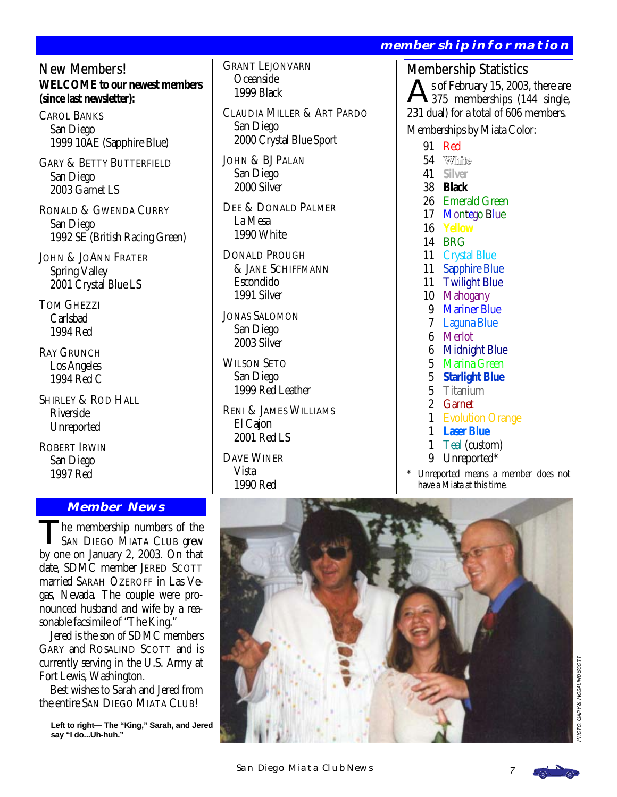## New Members!

**WELCOME to our newest members (since last newsletter):** 

CAROL BANKS San Diego 1999 10AE (Sapphire Blue)

GARY & BETTY BUTTERFIELD San Diego 2003 Garnet LS

RONALD & GWENDA CURRY San Diego 1992 SE (British Racing Green)

JOHN & JOANN FRATER Spring Valley 2001 Crystal Blue LS

TOM GHEZZI Carlsbad 1994 Red

RAY GRUNCH Los Angeles 1994 Red C

SHIRLEY & ROD HALL Riverside Unreported

ROBERT IRWIN San Diego 1997 Red

## **Member News**

he membership numbers of the SAN DIEGO MIATA CLUB grew by one on January 2, 2003. On that date, SDMC member JERED SCOTT married SARAH OZEROFF in Las Vegas, Nevada. The couple were pronounced husband and wife by a reasonable facsimile of "The King."

 Jered is the son of SDMC members GARY and ROSALIND SCOTT and is currently serving in the U.S. Army at Fort Lewis, Washington.

 Best wishes to Sarah and Jered from the entire SAN DIEGO MIATA CLUB!

**Left to right— The "King," Sarah, and Jered say "I do...Uh-huh."** 

GRANT LEJONVARN Oceanside 1999 Black

CLAUDIA MILLER & ART PARDO San Diego 2000 Crystal Blue Sport

JOHN & BJ PALAN San Diego 2000 Silver

DEE & DONALD PALMER La Mesa 1990 White

DONALD PROUGH & JANE SCHIFFMANN Escondido 1991 Silver

JONAS SALOMON San Diego 2003 Silver

WILSON SETO San Diego 1999 Red Leather

RENI & JAMES WILLIAMS El Cajon 2001 Red LS

DAVE WINER Vista 1990 Red

# **membership information**

# Membership Statistics

s of February 15, 2003, there are 375 memberships (144 single, 231 dual) for a total of 606 members.

Memberships by Miata Color:

- 91 Red
- 54 White
- 41 **Silver**
- 38 **Black**
- 26 Emerald Green
- 17 Montego Blue
- 16 **Yellow**
- 14 BRG
- 11 Crystal Blue
- 11 Sapphire Blue
- 11 Twilight Blue
- 10 Mahogany
- 9 Mariner Blue
- 7 Laguna Blue
- 6 Merlot
- 6 Midnight Blue
- 5 Marina Green
- 5 **Starlight Blue**
- 5 Titanium
- 2 Garnet
- 1 Evolution Orange
- 1 **Laser Blue**
- 1 Teal (custom)
- 9 Unreported\*

Unreported means a member does not have a Miata at this time.



PHOT a GARY & ROSALMD  $\frac{500}{7}$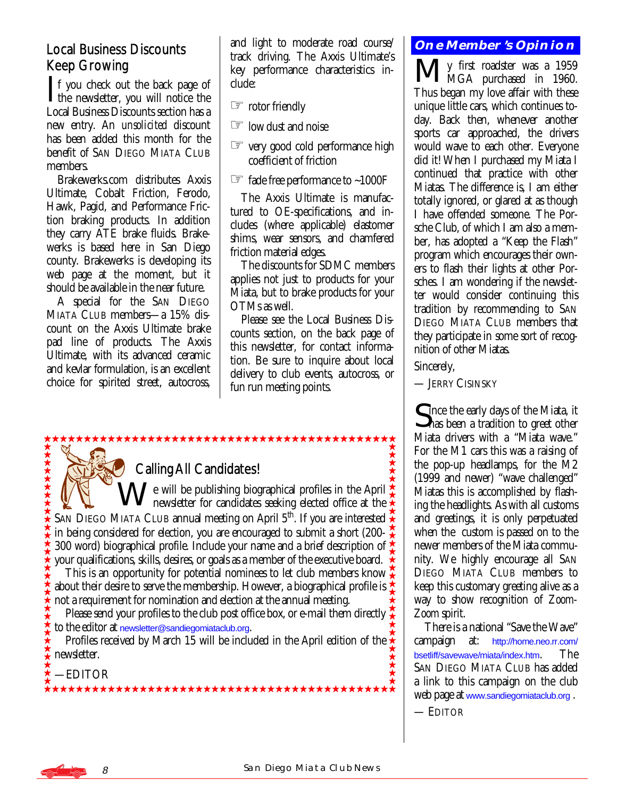# Local Business Discounts Keep Growing

 $\mathsf{T}$  f you check out the back page of  $\blacktriangle$  the newsletter, you will notice the Local Business Discounts section has a new entry. An *unsolicited* discount has been added this month for the benefit of SAN DIEGO MIATA CLUB members.

 Brakewerks.com distributes Axxis Ultimate, Cobalt Friction, Ferodo, Hawk, Pagid, and Performance Friction braking products. In addition they carry ATE brake fluids. Brakewerks is based here in San Diego county. Brakewerks is developing its web page at the moment, but it should be available in the near future.

 A special for the SAN DIEGO MIATA CLUB members—a 15% discount on the Axxis Ultimate brake pad line of products. The Axxis Ultimate, with its advanced ceramic and kevlar formulation, is an excellent choice for spirited street, autocross,

and light to moderate road course/ track driving. The Axxis Ultimate's key performance characteristics include:

☞ rotor friendly

- ☞ low dust and noise
- ☞ very good cold performance high coefficient of friction
- $\approx$  fade free performance to ~1000F

 The Axxis Ultimate is manufactured to OE-specifications, and includes (where applicable) elastomer shims, wear sensors, and chamfered friction material edges.

 The discounts for SDMC members applies not just to products for your Miata, but to brake products for your OTMs as well.

 Please see the Local Business Discounts section, on the back page of this newsletter, for contact information. Be sure to inquire about local delivery to club events, autocross, or fun run meeting points.

# \*\*\*\*\*\*\*\*\*\*\*\*\*\*\*\*\*\*\*\*\*\*

# Calling All Candidates!

\*\*\*\*\*\*\*\* We will be publishing biographical profiles in the April newsletter for candidates seeking elected office at the SAN DIEGO MIATA CLUB annual meeting on April 5<sup>th</sup>. If you are interested in being considered for election, you are encouraged to submit a short (200- 300 word) biographical profile. Include your name and a brief description of  $\triangle$ your qualifications, skills, desires, or goals as a member of the executive board.

 This is an opportunity for potential nominees to let club members know about their desire to serve the membership. However, a biographical profile is  $\Delta$ not a requirement for nomination and election at the annual meeting.

Please send your profiles to the club post office box, or e-mail them directly  $\chi$ to the editor at [newsletter@sandiegomiataclub.org](mailto:newsletter@sandiegomiataclub.org).

Profiles received by March 15 will be included in the April edition of the  $\hat{\star}$ newsletter.

—EDITOR

\*\*\*\*\*\*\*\*\*\*\*\*\*\*\*\*\*\*\*\*\*\*\*\*\*\*

# **One Member's Opinion**

My first roadster was a 1959 MGA purchased in 1960. Thus began my love affair with these unique little cars, which continues today. Back then, whenever another sports car approached, the drivers would wave to each other. Everyone did it! When I purchased my Miata I continued that practice with other Miatas. The difference is, I am either totally ignored, or glared at as though I have offended someone. The Porsche Club, of which I am also a member, has adopted a "Keep the Flash" program which encourages their owners to flash their lights at other Porsches. I am wondering if the newsletter would consider continuing this tradition by recommending to SAN DIEGO MIATA CLUB members that they participate in some sort of recognition of other Miatas.

Sincerely,

— JERRY CISINSKY

Cince the early days of the Miata, it **S**has been a tradition to greet other Miata drivers with a "Miata wave." For the M1 cars this was a raising of the pop-up headlamps, for the M2 (1999 and newer) "wave challenged" Miatas this is accomplished by flashing the headlights. As with all customs and greetings, it is only perpetuated when the custom is passed on to the newer members of the Miata community. We highly encourage all SAN DIEGO MIATA CLUB members to keep this customary greeting alive as a way to show recognition of *Zoom-Zoom* spirit.

 There is a national "Save the Wave" campaign at: [http://home.neo.rr.com/](http://home.neo.rr.com/bsetliff/savewave/miata/index.htm) [bsetliff/savewave/miata/index.htm](http://home.neo.rr.com/bsetliff/savewave/miata/index.htm). The SAN DIEGO MIATA CLUB has added a link to this campaign on the club web page at [www.sandiegomiataclub.org](http://www.sandiegmiataclub.org) .

— EDITOR

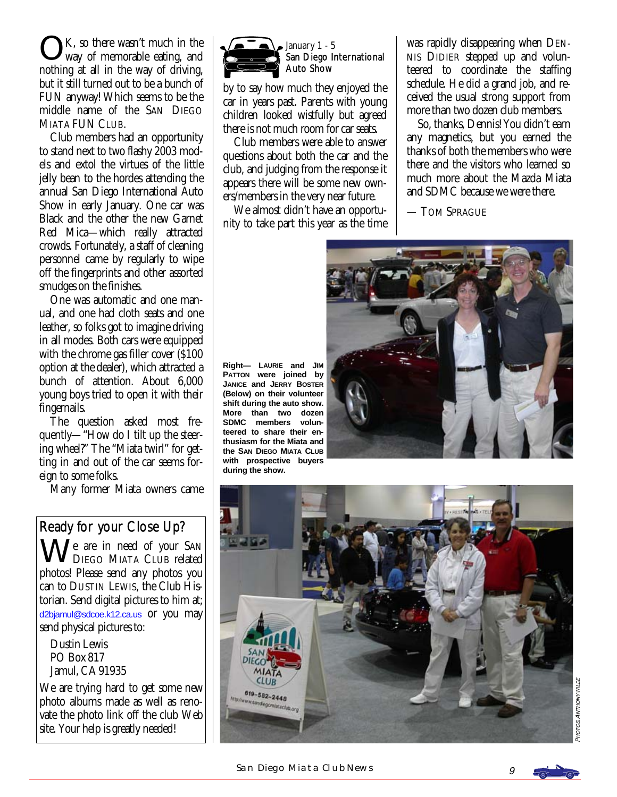K, so there wasn't much in the way of memorable eating, and nothing at all in the way of driving, but it still turned out to be a bunch of FUN anyway! Which seems to be the middle name of the SAN DIEGO MIATA FUN CLUB.

 Club members had an opportunity to stand next to two flashy 2003 models and extol the virtues of the little jelly bean to the hordes attending the annual San Diego International Auto Show in early January. One car was Black and the other the new Garnet Red Mica—which really attracted crowds. Fortunately, a staff of cleaning personnel came by regularly to wipe off the fingerprints and other assorted smudges on the finishes.

 One was automatic and one manual, and one had cloth seats and one leather, so folks got to imagine driving in all modes. Both cars were equipped with the chrome gas filler cover (\$100 option at the dealer), which attracted a bunch of attention. About 6,000 young boys tried to open it with their fingernails.

 The question asked most frequently—"How do I tilt up the steering wheel?" The "Miata twirl" for getting in and out of the car seems foreign to some folks.

Many former Miata owners came

## Ready for your Close Up?

We are in need of your SAN DIEGO MIATA CLUB related photos! Please send any photos you can to DUSTIN LEWIS, the Club Historian. Send digital pictures to him at; [d2bjamul@sdcoe.k12.ca.us](mailto:d2bjamul@sdcoe.k12.ca.us) or you may send physical pictures to:

 Dustin Lewis PO Box 817 Jamul, CA 91935

We are trying hard to get some new photo albums made as well as renovate the photo link off the club Web site. Your help is greatly needed!



**during the show.** 

#### January  $1 - 5$ San Diego International Auto Show

by to say how much they enjoyed the car in years past. Parents with young children looked wistfully but agreed there is not much room for car seats.

 Club members were able to answer questions about both the car and the club, and judging from the response it appears there will be some new owners/members in the very near future.

 We almost didn't have an opportunity to take part this year as the time

was rapidly disappearing when DEN-NIS DIDIER stepped up and volunteered to coordinate the staffing schedule. He did a grand job, and received the usual strong support from more than two dozen club members.

 So, thanks, Dennis! You didn't earn any magnetics, but you earned the thanks of both the members who were there and the visitors who learned so much more about the Mazda Miata and SDMC because we were there.

— TOM SPRAGUE



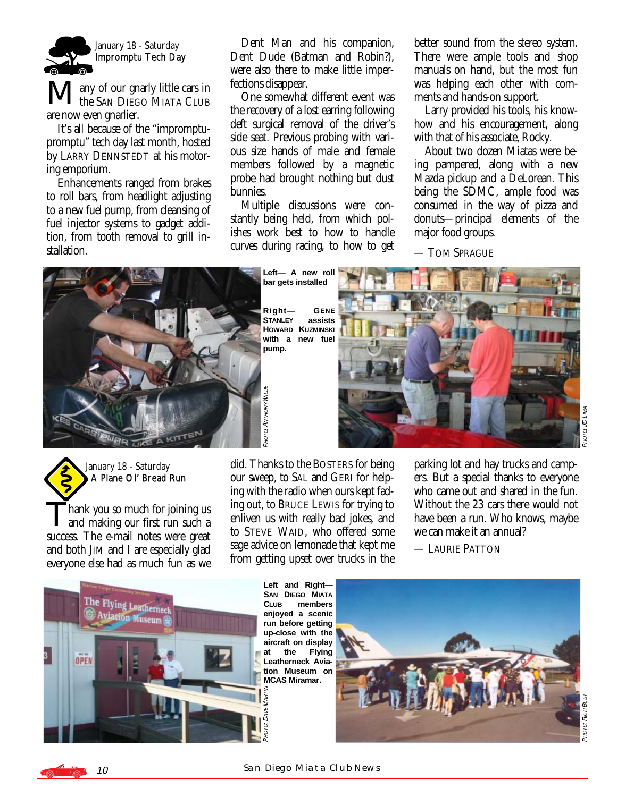

any of our gnarly little cars in **the SAN DIEGO MIATA CLUB** are now even gnarlier.

 It's all because of the "impromptupromptu" tech day last month, hosted by LARRY DENNSTEDT at his motoring emporium.

 Enhancements ranged from brakes to roll bars, from headlight adjusting to a new fuel pump, from cleansing of fuel injector systems to gadget addition, from tooth removal to grill installation.

 Dent Man and his companion, Dent Dude (Batman and Robin?), were also there to make little imperfections disappear.

 One somewhat different event was the recovery of a lost earring following deft surgical removal of the driver's side seat. Previous probing with various size hands of male and female members followed by a magnetic probe had brought nothing but dust bunnies.

 Multiple discussions were constantly being held, from which polishes work best to how to handle curves during racing, to how to get better sound from the stereo system. There were ample tools and shop manuals on hand, but the most fun was helping each other with comments and hands-on support.

 Larry provided his tools, his knowhow and his encouragement, along with that of his associate, Rocky.

 About two dozen Miatas were being pampered, along with a new Mazda pickup and a DeLorean. This being the SDMC, ample food was consumed in the way of pizza and donuts—principal elements of the major food groups.

— TOM SPRAGUE



**bar gets installed Right— GENE**

**STANLEY HOWARD KUZMINSKI with a new fuel pump.** 



January 18 - Saturday A Plane Ol' Bread Run

hank you so much for joining us and making our first run such a success. The e-mail notes were great and both JIM and I are especially glad everyone else had as much fun as we did. Thanks to the BOSTERS for being our sweep, to SAL and GERI for helping with the radio when ours kept fading out, to BRUCE LEWIS for trying to enliven us with really bad jokes, and to STEVE WAID, who offered some sage advice on lemonade that kept me from getting upset over trucks in the parking lot and hay trucks and campers. But a special thanks to everyone who came out and shared in the fun. Without the 23 cars there would not have been a run. Who knows, maybe we can make it an annual?

— LAURIE PATTON



**SAN DIEGO MIATA CLUB members enjoyed a scenic run before getting up-close with the aircraft on display**  at the **Leatherneck Aviation Museum on MCAS Miramar.**  MARTM



-